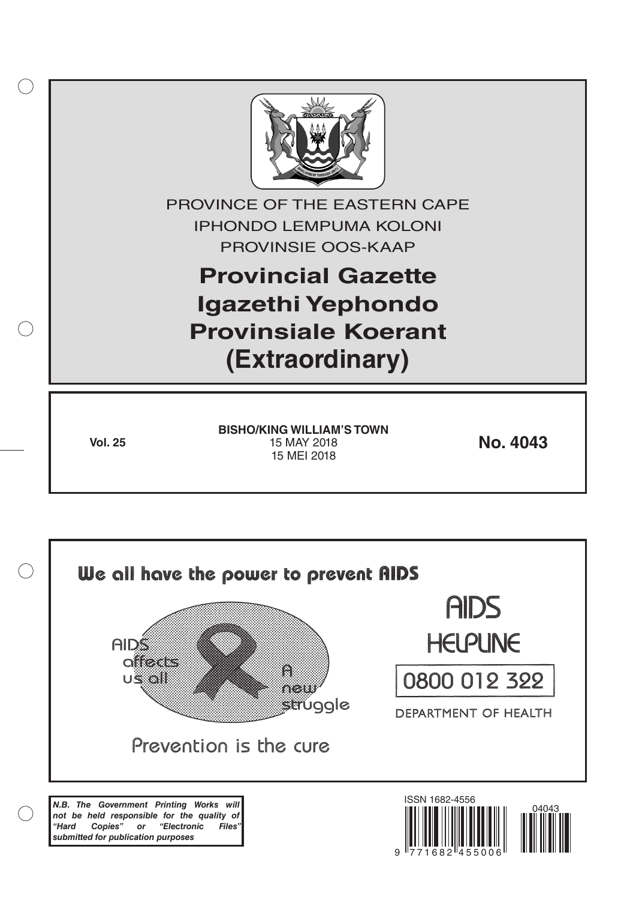

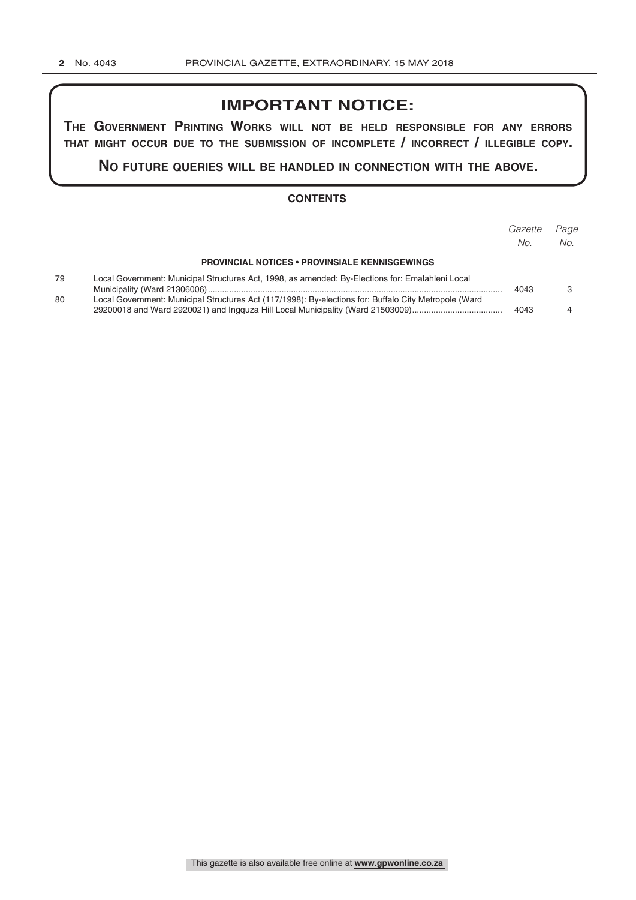# **IMPORTANT NOTICE:**

**The GovernmenT PrinTinG Works Will noT be held resPonsible for any errors ThaT miGhT occur due To The submission of incomPleTe / incorrecT / illeGible coPy.**

**no fuTure queries Will be handled in connecTion WiTh The above.**

## **CONTENTS**

|    |                                                                                                                                                                                         | Gazette<br>No. | Page<br>No. |
|----|-----------------------------------------------------------------------------------------------------------------------------------------------------------------------------------------|----------------|-------------|
|    | <b>PROVINCIAL NOTICES • PROVINSIALE KENNISGEWINGS</b>                                                                                                                                   |                |             |
| 79 | Local Government: Municipal Structures Act, 1998, as amended: By-Elections for: Emalahleni Local                                                                                        | 4043           |             |
| 80 | Local Government: Municipal Structures Act (117/1998): By-elections for: Buffalo City Metropole (Ward<br>29200018 and Ward 2920021) and Ingguza Hill Local Municipality (Ward 21503009) | 4043           |             |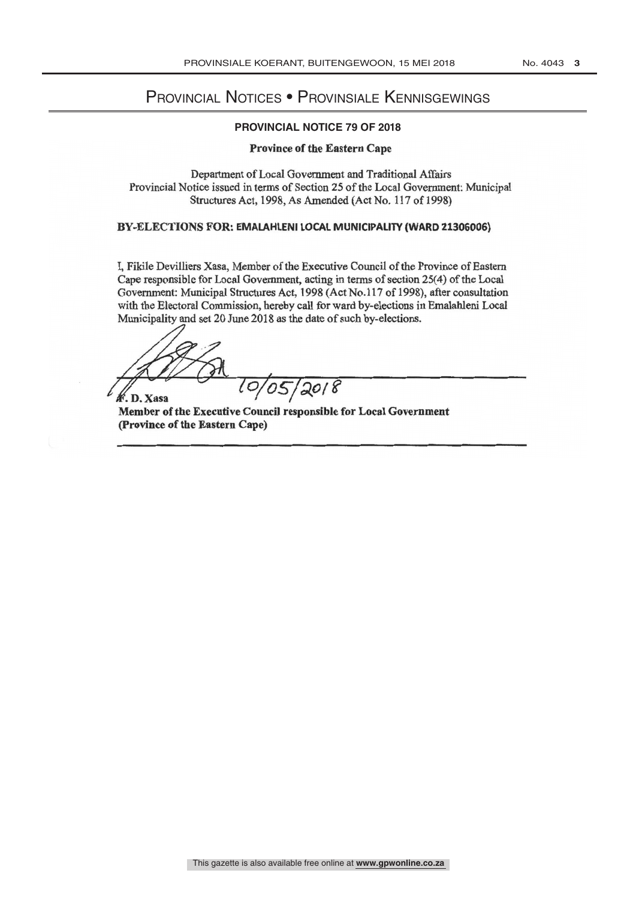## Provincial Notices • Provinsiale Kennisgewings

#### **PROVINCIAL NOTICE 79 OF 2018**

PROVINCIAL NOTICE IN A PROVINCIAL AND INTERNATIONAL CONTINUES.

#### Province of the Eastern Cape

Department of Local Government and Traditional Affairs<br>tion issued in terms of Soction 25 of the Local Government: Muni Provincial Notice issued in terms of Section 25 of the Local Government: Municipal<br>Structures Act, 1008, Act, Amended (Act No. 117 of 1009) Structures Act, 1998, As Amended (Act No. 117 of 1998)

#### BY-ELECTIONS FOR: EMALAHLENI LOCAL MUNICIPALITY (WARD 21306006)

I, Fikile Devilliers Xasa, Member of the Executive Council of the Province of Eastern Cape responsible for Local Government, acting in terms of section 25(4) of the Local Government: Municipal Structures Act, 1998 (Act No.117 of 1998), after consultation Municipality and set 20 June 2018 as the date of such by-elections.

 $10/05/20/8$ 

Member of the Executive Council responsible for Local Government (Province of the Eastern Cape)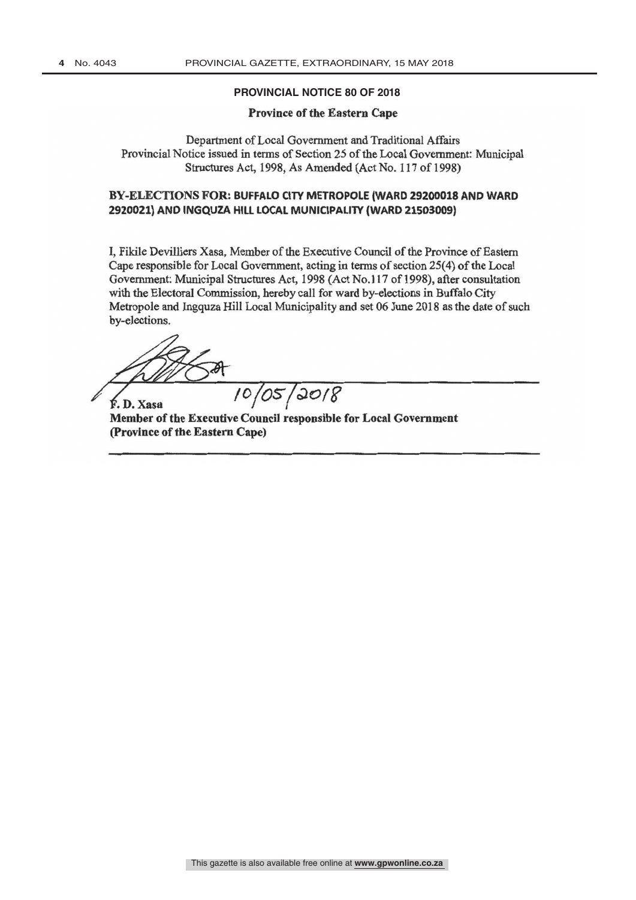#### **PROVINCIAL NOTICE 80 OF 2018**

## Province of the Eastern Cape

Department of Local Government and Traditional Affairs Provincial Notice issued in terms of Section 25 of the Local Government: Municipal Structures Act, 1998, As Amended (Act No. 117 of 1998)

## BY- ELECTIONS FOR: BUFFALO CITY METROPOLE (WARD 29200018 AND WARD 2920021) AND INGQUZA HILL LOCAL MUNICIPALITY (WARD 21503009)

I, Fikile Devilliers Xasa, Member of the Executive Council of the Province of Eastern Government: Municipal Structures Act, 1998 (Act No.117 of 1998), after consultation Government: Municipal Structures Act, 1998 (Act No. i 17 of 1998), after consultation with the Electoral Commission, hereby call for ward by-elections in Buffalo City<br>Metropole and Incomes Uill Legal Municipality and set 06 June 2018 as the data of such Metropole and Ingquza Hill Local Municipality and set 06 June 2018 as the date of such by-elections.

 $\frac{10}{1005}$  2018

Member of the Executive Council responsible for Local Government (Province of the Eastern Cape)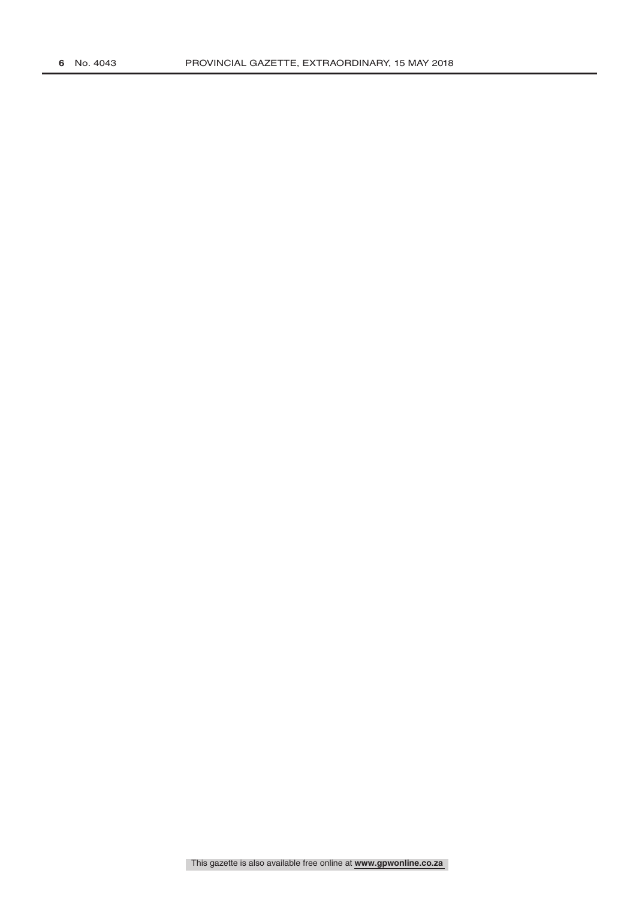This gazette is also available free online at **www.gpwonline.co.za**